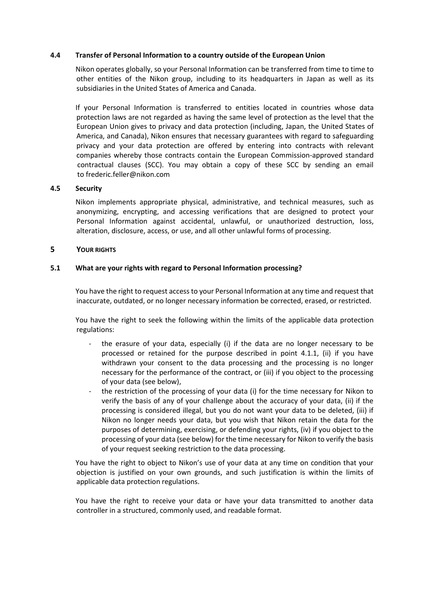#### 4.4 Transfer of Personal Information to a country outside of the European Union

Nikon operates globally, so your Personal Information can be transferred from time to time to other entities of the Nikon group, including to its headquarters in Japan as well as its subsidiaries in the United States of America and Canada.

If your Personal Information is transferred to entities located in countries whose data protection laws are not regarded as having the same level of protection as the level that the European Union gives to privacy and data protection (including, Japan, the United States of America, and Canada), Nikon ensures that necessary guarantees with regard to safeguarding privacy and your data protection are offered by entering into contracts with relevant companies whereby those contracts contain the European Commission-approved standard contractual clauses (SCC). You may obtain a copy of these SCC by sending an email to gdpr.nm@nikon.com

#### 4.5 Security

Nikon implements appropriate physical, administrative, and technical measures, such as anonymizing, encrypting, and accessing verifications that are designed to protect your Personal Information against accidental, unlawful, or unauthorized destruction, loss, alteration, disclosure, access, or use, and all other unlawful forms of processing.

#### 5 YOUR RIGHTS

#### 5.1 What are your rights with regard to Personal Information processing?

You have the right to request access to your Personal Information at any time and request that inaccurate, outdated, or no longer necessary information be corrected, erased, or restricted.

You have the right to seek the following within the limits of the applicable data protection regulations:

- the erasure of your data, especially (i) if the data are no longer necessary to be processed or retained for the purpose described in point 4.1.1, (ii) if you have withdrawn your consent to the data processing and the processing is no longer necessary for the performance of the contract, or (iii) if you object to the processing of your data (see below),
- the restriction of the processing of your data (i) for the time necessary for Nikon to verify the basis of any of your challenge about the accuracy of your data, (ii) if the processing is considered illegal, but you do not want your data to be deleted, (iii) if Nikon no longer needs your data, but you wish that Nikon retain the data for the purposes of determining, exercising, or defending your rights, (iv) if you object to the processing of your data (see below) for the time necessary for Nikon to verify the basis of your request seeking restriction to the data processing.

You have the right to object to Nikon's use of your data at any time on condition that your objection is justified on your own grounds, and such justification is within the limits of applicable data protection regulations.

You have the right to receive your data or have your data transmitted to another data controller in a structured, commonly used, and readable format.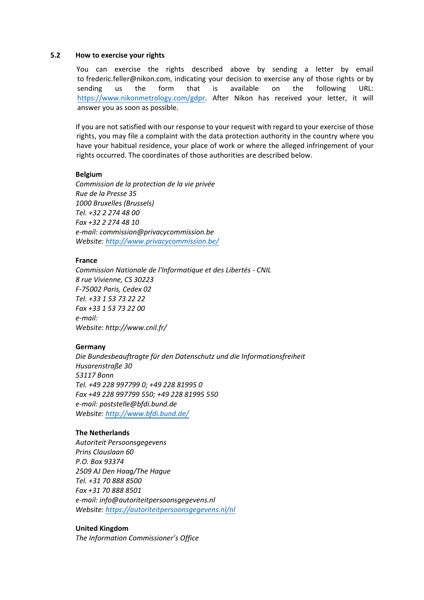# 5.2 How to exercise your rights

You can exercise the rights described above by sending a letter by email to frederic.feller@nikon.com, indicating your decision to exercise any of those rights or by sending us the form that is available on the following URL: https://www.nikonmetrology.com/gdpr. After Nikon has received your letter, it will answer you as soon as possible.

If you are not satisfied with our response to your request with regard to your exercise of those rights, you may file a complaint with the data protection authority in the country where you have your habitual residence, your place of work or where the alleged infringement of your rights occurred. The coordinates of those authorities are described below.

## Belgium

Commission de la protection de la vie privée Rue de la Presse 35 1000 Bruxelles (Brussels) Tel. +32 2 274 48 00 Fax +32 2 274 48 10 e-mail: commission@privacycommission.be Website: http://www.privacycommission.be/

## France

Commission Nationale de l'Informatique et des Libertés - CNIL 8 rue Vivienne, CS 30223 F-75002 Paris, Cedex 02 Tel. +33 1 53 73 22 22 Fax +33 1 53 73 22 00 e-mail: Website: http://www.cnil.fr/

## Germany

Die Bundesbeauftragte für den Datenschutz und die Informationsfreiheit Husarenstraße 30 53117 Bonn Tel. +49 228 997799 0; +49 228 81995 0 Fax +49 228 997799 550; +49 228 81995 550 e-mail: poststelle@bfdi.bund.de Website: http://www.bfdi.bund.de/

# The Netherlands

Autoriteit Persoonsgegevens Prins Clauslaan 60 P.O. Box 93374 2509 AJ Den Haag/The Hague Tel. +31 70 888 8500 Fax +31 70 888 8501 e-mail: info@autoriteitpersoonsgegevens.nl Website: https://autoriteitpersoonsgegevens.nl/nl

# United Kingdom

The Information Commissioner's Office